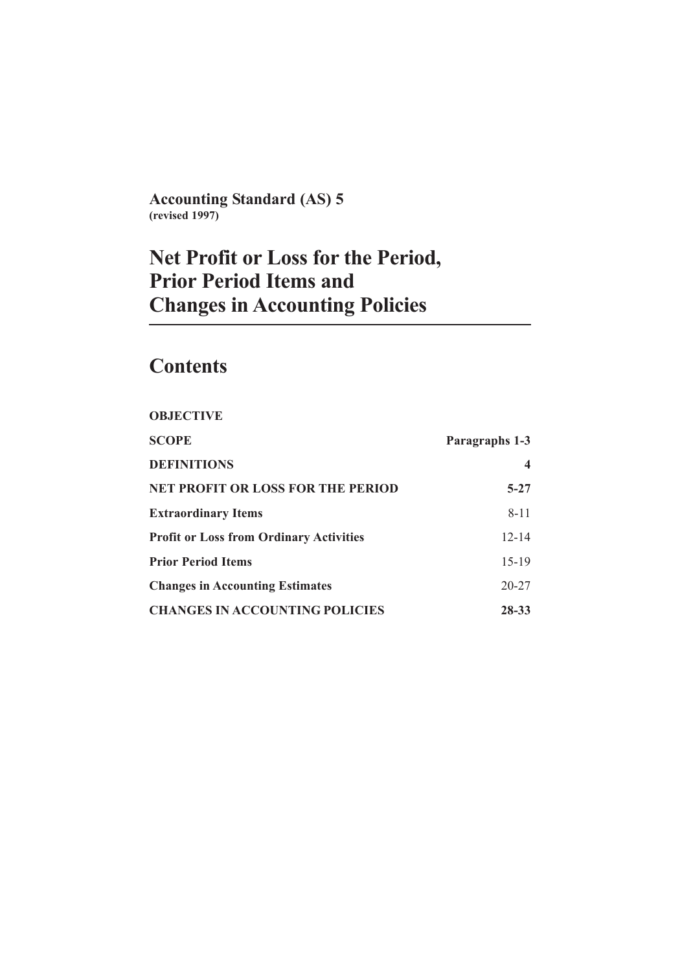**Accounting Standard (AS) 5 (revised 1997)**

# **Net Profit or Loss for the Period, Prior Period Items and Changes in Accounting Policies**

# **Contents**

#### **OBJECTIVE**

| <b>SCOPE</b>                                   | Paragraphs 1-3 |
|------------------------------------------------|----------------|
| <b>DEFINITIONS</b>                             |                |
| NET PROFIT OR LOSS FOR THE PERIOD              | $5 - 27$       |
| <b>Extraordinary Items</b>                     | $8 - 11$       |
| <b>Profit or Loss from Ordinary Activities</b> | $12 - 14$      |
| <b>Prior Period Items</b>                      | $15-19$        |
| <b>Changes in Accounting Estimates</b>         | $20 - 27$      |
| <b>CHANGES IN ACCOUNTING POLICIES</b>          | 28-33          |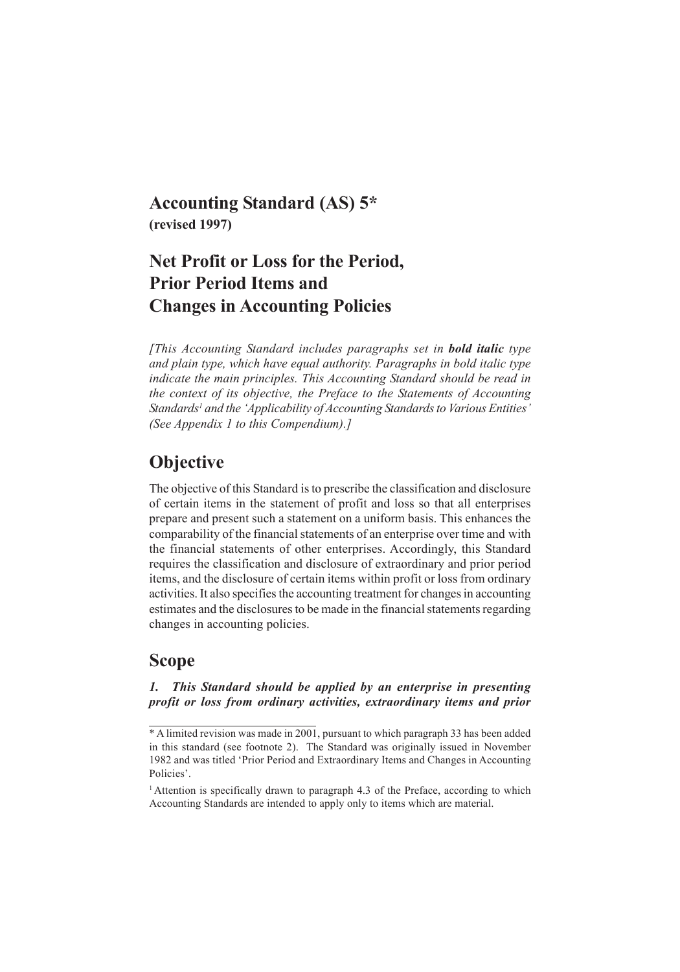**Accounting Standard (AS) 5\* (revised 1997)**

## **Net Profit or Loss for the Period, Prior Period Items and Changes in Accounting Policies**

*[This Accounting Standard includes paragraphs set in bold italic type and plain type, which have equal authority. Paragraphs in bold italic type indicate the main principles. This Accounting Standard should be read in the context of its objective, the Preface to the Statements of Accounting Standards1 and the 'Applicability of Accounting Standards to Various Entities' (See Appendix 1 to this Compendium).]*

## **Objective**

The objective of this Standard is to prescribe the classification and disclosure of certain items in the statement of profit and loss so that all enterprises prepare and present such a statement on a uniform basis. This enhances the comparability of the financial statements of an enterprise over time and with the financial statements of other enterprises. Accordingly, this Standard requires the classification and disclosure of extraordinary and prior period items, and the disclosure of certain items within profit or loss from ordinary activities. It also specifies the accounting treatment for changes in accounting estimates and the disclosures to be made in the financial statements regarding changes in accounting policies.

### **Scope**

*1. This Standard should be applied by an enterprise in presenting profit or loss from ordinary activities, extraordinary items and prior*

<sup>\*</sup> A limited revision was made in 2001, pursuant to which paragraph 33 has been added in this standard (see footnote 2). The Standard was originally issued in November 1982 and was titled 'Prior Period and Extraordinary Items and Changes in Accounting Policies'.

<sup>1</sup> Attention is specifically drawn to paragraph 4.3 of the Preface, according to which Accounting Standards are intended to apply only to items which are material.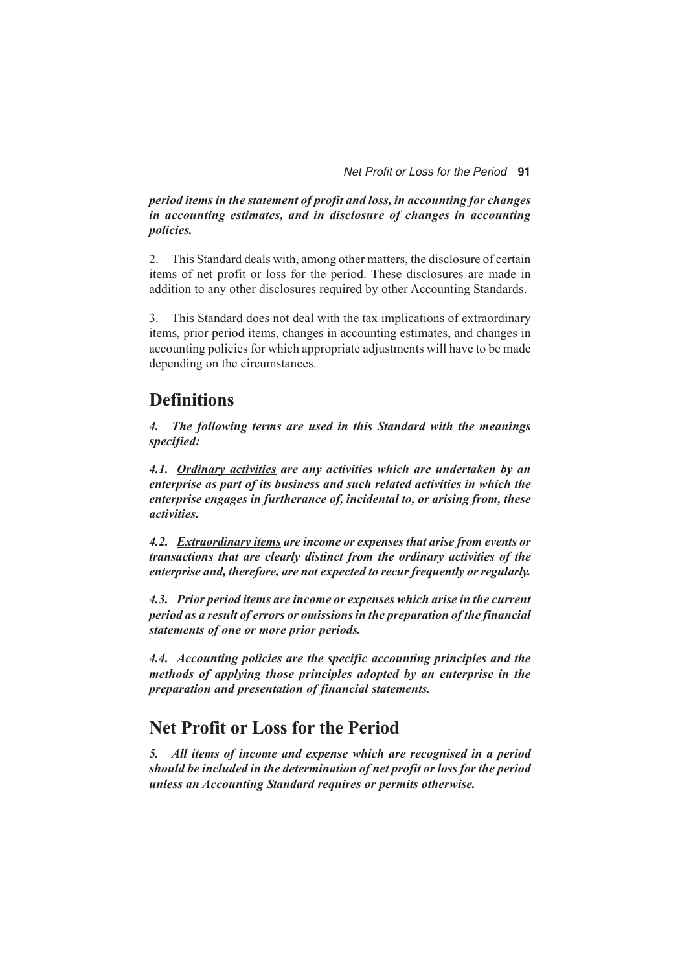*period items in the statement of profit and loss, in accounting for changes in accounting estimates, and in disclosure of changes in accounting policies.*

2. This Standard deals with, among other matters, the disclosure of certain items of net profit or loss for the period. These disclosures are made in addition to any other disclosures required by other Accounting Standards.

3. This Standard does not deal with the tax implications of extraordinary items, prior period items, changes in accounting estimates, and changes in accounting policies for which appropriate adjustments will have to be made depending on the circumstances.

## **Definitions**

*4. The following terms are used in this Standard with the meanings specified:*

*4.1. Ordinary activities are any activities which are undertaken by an enterprise as part of its business and such related activities in which the enterprise engages in furtherance of, incidental to, or arising from, these activities.*

*4.2. Extraordinary items are income or expenses that arise from events or transactions that are clearly distinct from the ordinary activities of the enterprise and, therefore, are not expected to recur frequently or regularly.*

*4.3. Prior period items are income or expenses which arise in the current period as a result of errors or omissions in the preparation of the financial statements of one or more prior periods.*

*4.4. Accounting policies are the specific accounting principles and the methods of applying those principles adopted by an enterprise in the preparation and presentation of financial statements.*

## **Net Profit or Loss for the Period**

*5. All items of income and expense which are recognised in a period should be included in the determination of net profit or loss for the period unless an Accounting Standard requires or permits otherwise.*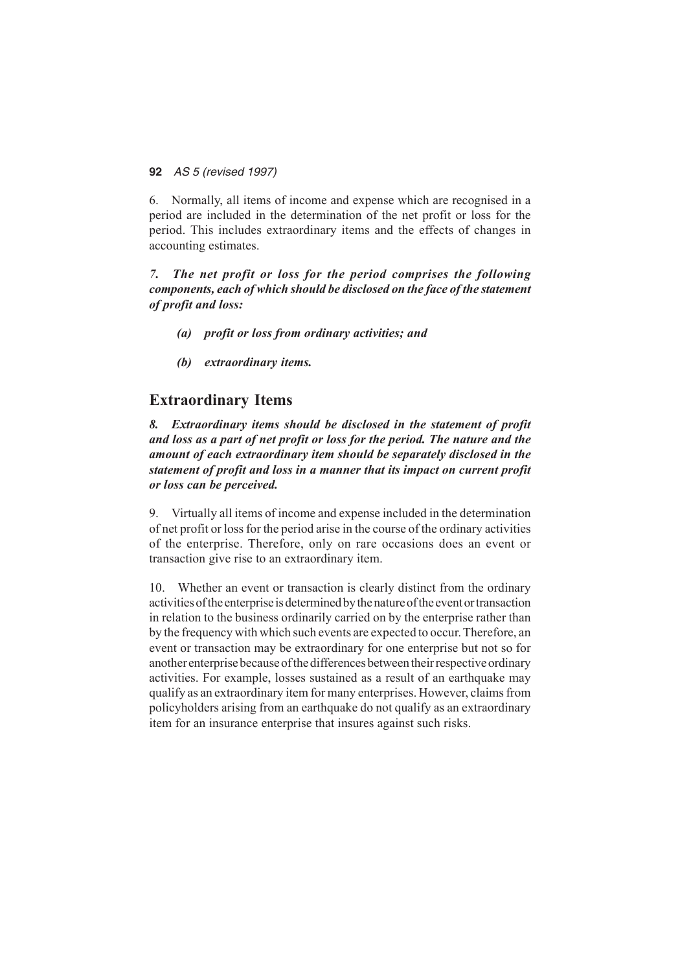#### **92** *AS 5 (revised 1997)*

6. Normally, all items of income and expense which are recognised in a period are included in the determination of the net profit or loss for the period. This includes extraordinary items and the effects of changes in accounting estimates.

#### *7. The net profit or loss for the period comprises the following components, each of which should be disclosed on the face of the statement of profit and loss:*

- *(a) profit or loss from ordinary activities; and*
- *(b) extraordinary items.*

#### **Extraordinary Items**

*8. Extraordinary items should be disclosed in the statement of profit and loss as a part of net profit or loss for the period. The nature and the amount of each extraordinary item should be separately disclosed in the statement of profit and loss in a manner that its impact on current profit or loss can be perceived.*

9. Virtually all items of income and expense included in the determination of net profit or loss for the period arise in the course of the ordinary activities of the enterprise. Therefore, only on rare occasions does an event or transaction give rise to an extraordinary item.

10. Whether an event or transaction is clearly distinct from the ordinary activities of the enterprise is determined by the nature of the event or transaction in relation to the business ordinarily carried on by the enterprise rather than by the frequency with which such events are expected to occur. Therefore, an event or transaction may be extraordinary for one enterprise but not so for another enterprise because of the differences between their respective ordinary activities. For example, losses sustained as a result of an earthquake may qualify as an extraordinary item for many enterprises. However, claims from policyholders arising from an earthquake do not qualify as an extraordinary item for an insurance enterprise that insures against such risks.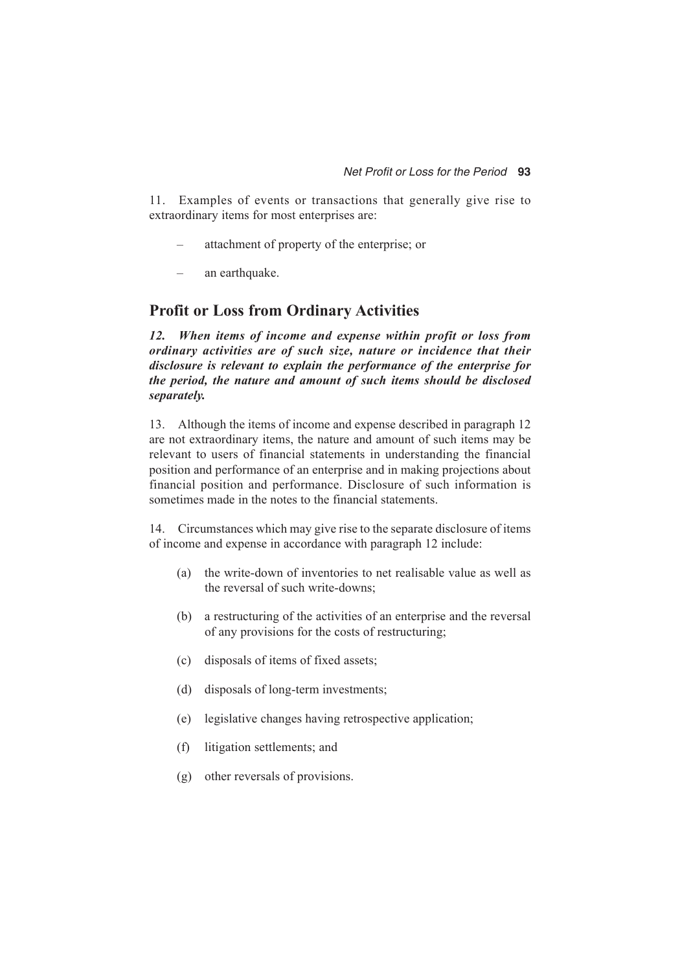11. Examples of events or transactions that generally give rise to extraordinary items for most enterprises are:

- attachment of property of the enterprise; or
- an earthquake.

#### **Profit or Loss from Ordinary Activities**

*12. When items of income and expense within profit or loss from ordinary activities are of such size, nature or incidence that their disclosure is relevant to explain the performance of the enterprise for the period, the nature and amount of such items should be disclosed separately.*

13. Although the items of income and expense described in paragraph 12 are not extraordinary items, the nature and amount of such items may be relevant to users of financial statements in understanding the financial position and performance of an enterprise and in making projections about financial position and performance. Disclosure of such information is sometimes made in the notes to the financial statements.

14. Circumstances which may give rise to the separate disclosure of items of income and expense in accordance with paragraph 12 include:

- (a) the write-down of inventories to net realisable value as well as the reversal of such write-downs;
- (b) a restructuring of the activities of an enterprise and the reversal of any provisions for the costs of restructuring;
- (c) disposals of items of fixed assets;
- (d) disposals of long-term investments;
- (e) legislative changes having retrospective application;
- (f) litigation settlements; and
- (g) other reversals of provisions.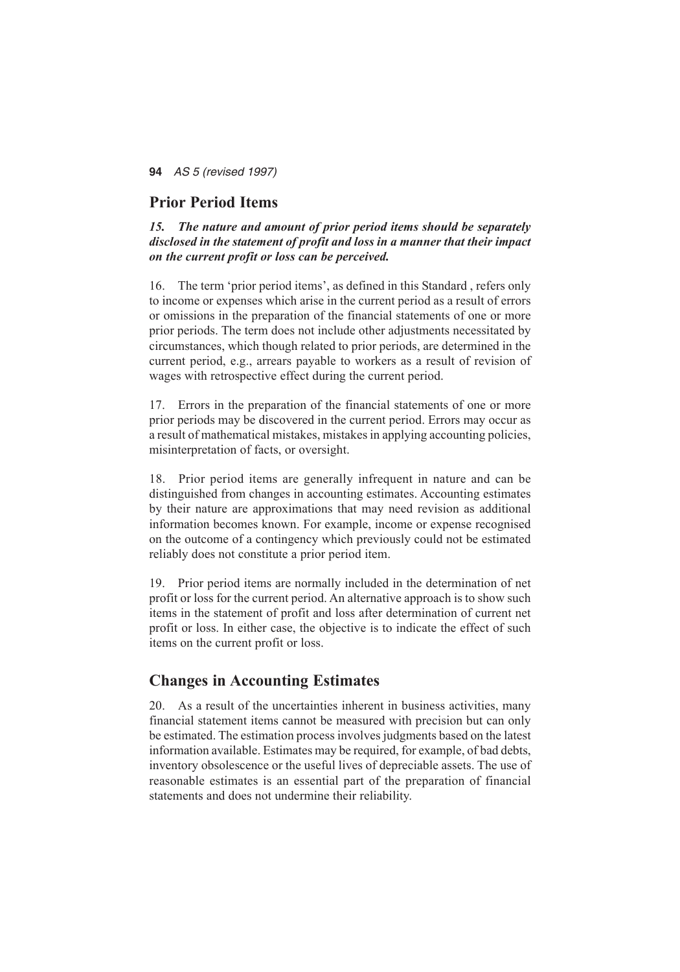#### **94** *AS 5 (revised 1997)*

#### **Prior Period Items**

*15. The nature and amount of prior period items should be separately disclosed in the statement of profit and loss in a manner that their impact on the current profit or loss can be perceived.*

16. The term 'prior period items', as defined in this Standard , refers only to income or expenses which arise in the current period as a result of errors or omissions in the preparation of the financial statements of one or more prior periods. The term does not include other adjustments necessitated by circumstances, which though related to prior periods, are determined in the current period, e.g., arrears payable to workers as a result of revision of wages with retrospective effect during the current period.

17. Errors in the preparation of the financial statements of one or more prior periods may be discovered in the current period. Errors may occur as a result of mathematical mistakes, mistakes in applying accounting policies, misinterpretation of facts, or oversight.

18. Prior period items are generally infrequent in nature and can be distinguished from changes in accounting estimates. Accounting estimates by their nature are approximations that may need revision as additional information becomes known. For example, income or expense recognised on the outcome of a contingency which previously could not be estimated reliably does not constitute a prior period item.

19. Prior period items are normally included in the determination of net profit or loss for the current period. An alternative approach is to show such items in the statement of profit and loss after determination of current net profit or loss. In either case, the objective is to indicate the effect of such items on the current profit or loss.

#### **Changes in Accounting Estimates**

20. As a result of the uncertainties inherent in business activities, many financial statement items cannot be measured with precision but can only be estimated. The estimation process involves judgments based on the latest information available. Estimates may be required, for example, of bad debts, inventory obsolescence or the useful lives of depreciable assets. The use of reasonable estimates is an essential part of the preparation of financial statements and does not undermine their reliability.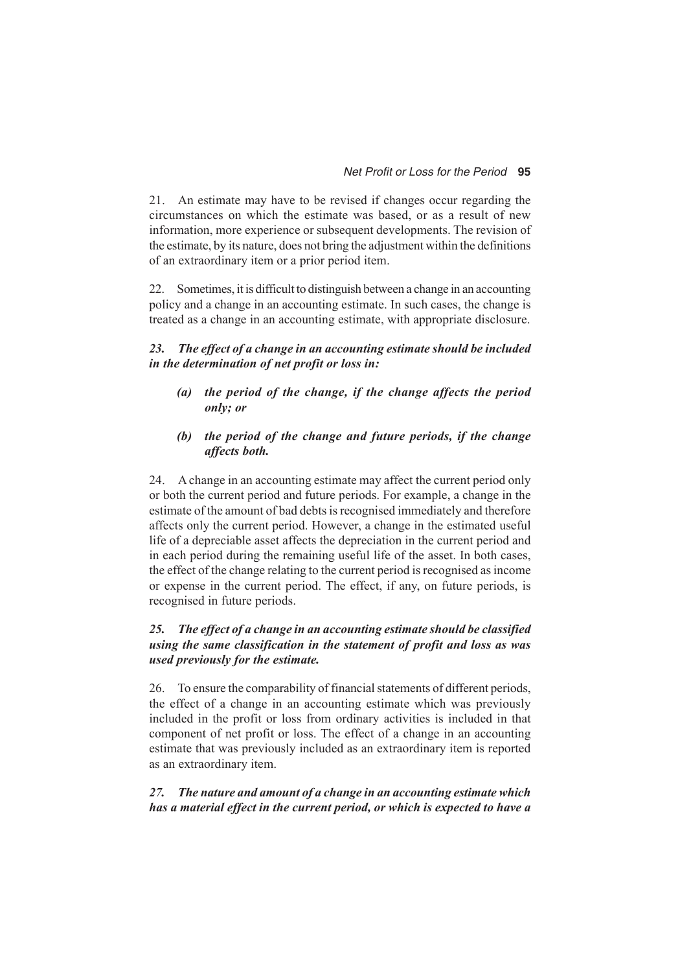21. An estimate may have to be revised if changes occur regarding the circumstances on which the estimate was based, or as a result of new information, more experience or subsequent developments. The revision of the estimate, by its nature, does not bring the adjustment within the definitions of an extraordinary item or a prior period item.

22. Sometimes, it is difficult to distinguish between a change in an accounting policy and a change in an accounting estimate. In such cases, the change is treated as a change in an accounting estimate, with appropriate disclosure.

*23. The effect of a change in an accounting estimate should be included in the determination of net profit or loss in:*

- *(a) the period of the change, if the change affects the period only; or*
- *(b) the period of the change and future periods, if the change affects both.*

24. A change in an accounting estimate may affect the current period only or both the current period and future periods. For example, a change in the estimate of the amount of bad debts is recognised immediately and therefore affects only the current period. However, a change in the estimated useful life of a depreciable asset affects the depreciation in the current period and in each period during the remaining useful life of the asset. In both cases, the effect of the change relating to the current period is recognised as income or expense in the current period. The effect, if any, on future periods, is recognised in future periods.

#### *25. The effect of a change in an accounting estimate should be classified using the same classification in the statement of profit and loss as was used previously for the estimate.*

26. To ensure the comparability of financial statements of different periods, the effect of a change in an accounting estimate which was previously included in the profit or loss from ordinary activities is included in that component of net profit or loss. The effect of a change in an accounting estimate that was previously included as an extraordinary item is reported as an extraordinary item.

#### *27. The nature and amount of a change in an accounting estimate which has a material effect in the current period, or which is expected to have a*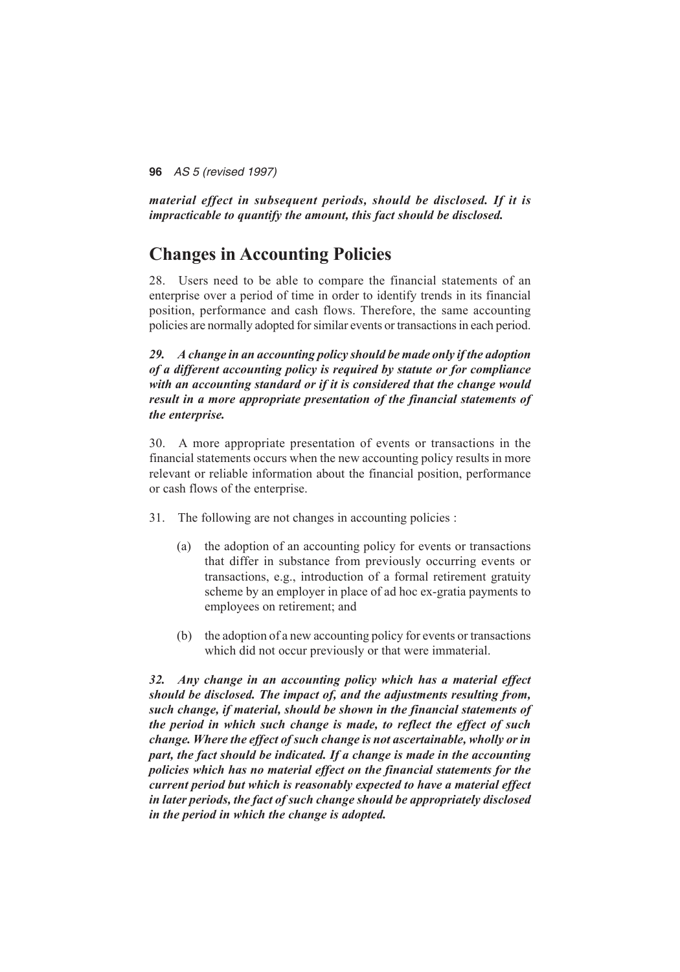**96** *AS 5 (revised 1997)*

*material effect in subsequent periods, should be disclosed. If it is impracticable to quantify the amount, this fact should be disclosed.*

## **Changes in Accounting Policies**

28. Users need to be able to compare the financial statements of an enterprise over a period of time in order to identify trends in its financial position, performance and cash flows. Therefore, the same accounting policies are normally adopted for similar events or transactions in each period.

*29. A change in an accounting policy should be made only if the adoption of a different accounting policy is required by statute or for compliance with an accounting standard or if it is considered that the change would result in a more appropriate presentation of the financial statements of the enterprise.*

30. A more appropriate presentation of events or transactions in the financial statements occurs when the new accounting policy results in more relevant or reliable information about the financial position, performance or cash flows of the enterprise.

- 31. The following are not changes in accounting policies :
	- (a) the adoption of an accounting policy for events or transactions that differ in substance from previously occurring events or transactions, e.g., introduction of a formal retirement gratuity scheme by an employer in place of ad hoc ex-gratia payments to employees on retirement; and
	- (b) the adoption of a new accounting policy for events or transactions which did not occur previously or that were immaterial.

*32. Any change in an accounting policy which has a material effect should be disclosed. The impact of, and the adjustments resulting from, such change, if material, should be shown in the financial statements of the period in which such change is made, to reflect the effect of such change. Where the effect of such change is not ascertainable, wholly or in part, the fact should be indicated. If a change is made in the accounting policies which has no material effect on the financial statements for the current period but which is reasonably expected to have a material effect in later periods, the fact of such change should be appropriately disclosed in the period in which the change is adopted.*